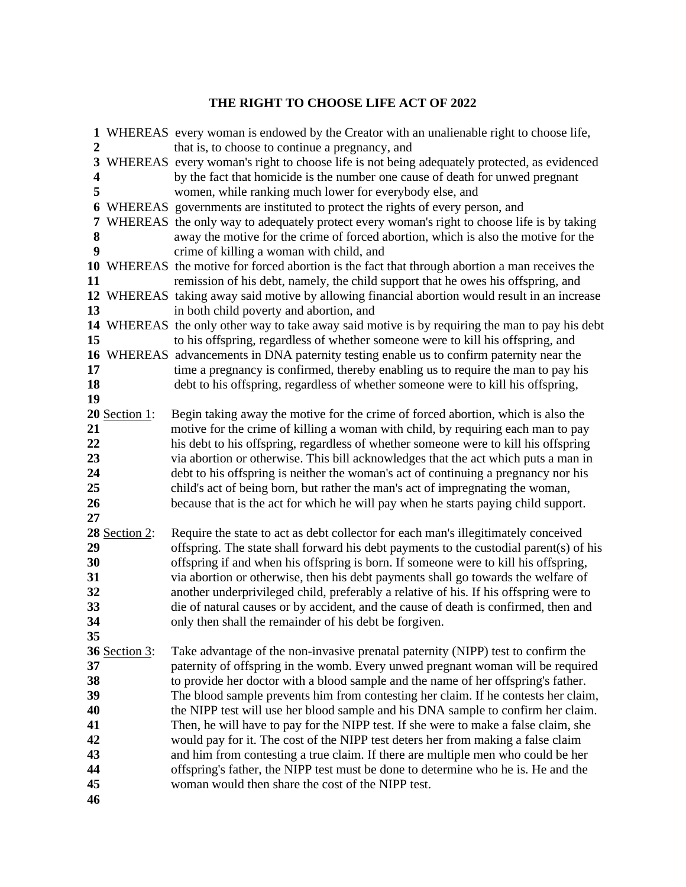## **THE RIGHT TO CHOOSE LIFE ACT OF 2022**

|                         |                      | 1 WHEREAS every woman is endowed by the Creator with an unalienable right to choose life,                                                                             |
|-------------------------|----------------------|-----------------------------------------------------------------------------------------------------------------------------------------------------------------------|
| 2                       |                      | that is, to choose to continue a pregnancy, and                                                                                                                       |
| 3                       |                      | WHEREAS every woman's right to choose life is not being adequately protected, as evidenced                                                                            |
| $\overline{\mathbf{4}}$ |                      | by the fact that homicide is the number one cause of death for unwed pregnant                                                                                         |
| 5                       |                      | women, while ranking much lower for everybody else, and                                                                                                               |
| 6                       |                      | WHEREAS governments are instituted to protect the rights of every person, and                                                                                         |
| 7                       |                      | WHEREAS the only way to adequately protect every woman's right to choose life is by taking                                                                            |
| 8                       |                      | away the motive for the crime of forced abortion, which is also the motive for the                                                                                    |
| 9                       |                      | crime of killing a woman with child, and                                                                                                                              |
|                         |                      | 10 WHEREAS the motive for forced abortion is the fact that through abortion a man receives the                                                                        |
| 11                      |                      | remission of his debt, namely, the child support that he owes his offspring, and                                                                                      |
|                         |                      | 12 WHEREAS taking away said motive by allowing financial abortion would result in an increase                                                                         |
| 13                      |                      | in both child poverty and abortion, and                                                                                                                               |
|                         |                      | 14 WHEREAS the only other way to take away said motive is by requiring the man to pay his debt                                                                        |
| 15                      |                      | to his offspring, regardless of whether someone were to kill his offspring, and                                                                                       |
|                         |                      | 16 WHEREAS advancements in DNA paternity testing enable us to confirm paternity near the                                                                              |
| 17                      |                      | time a pregnancy is confirmed, thereby enabling us to require the man to pay his                                                                                      |
| 18<br>19                |                      | debt to his offspring, regardless of whether someone were to kill his offspring,                                                                                      |
|                         | 20 Section 1:        | Begin taking away the motive for the crime of forced abortion, which is also the                                                                                      |
| 21                      |                      | motive for the crime of killing a woman with child, by requiring each man to pay                                                                                      |
| 22                      |                      | his debt to his offspring, regardless of whether someone were to kill his offspring                                                                                   |
| 23                      |                      | via abortion or otherwise. This bill acknowledges that the act which puts a man in                                                                                    |
| 24                      |                      | debt to his offspring is neither the woman's act of continuing a pregnancy nor his                                                                                    |
| 25                      |                      | child's act of being born, but rather the man's act of impregnating the woman,                                                                                        |
| 26                      |                      | because that is the act for which he will pay when he starts paying child support.                                                                                    |
| 27                      |                      |                                                                                                                                                                       |
|                         | 28 Section 2:        | Require the state to act as debt collector for each man's illegitimately conceived                                                                                    |
| 29                      |                      | offspring. The state shall forward his debt payments to the custodial parent(s) of his                                                                                |
| 30                      |                      | offspring if and when his offspring is born. If someone were to kill his offspring,                                                                                   |
| 31                      |                      | via abortion or otherwise, then his debt payments shall go towards the welfare of                                                                                     |
| 32                      |                      | another underprivileged child, preferably a relative of his. If his offspring were to                                                                                 |
| 33                      |                      | die of natural causes or by accident, and the cause of death is confirmed, then and                                                                                   |
| 34                      |                      | only then shall the remainder of his debt be forgiven.                                                                                                                |
| 35                      |                      |                                                                                                                                                                       |
|                         | <b>36 Section 3:</b> | Take advantage of the non-invasive prenatal paternity (NIPP) test to confirm the                                                                                      |
| 37                      |                      | paternity of offspring in the womb. Every unwed pregnant woman will be required                                                                                       |
| 38                      |                      | to provide her doctor with a blood sample and the name of her offspring's father.                                                                                     |
| 39                      |                      | The blood sample prevents him from contesting her claim. If he contests her claim,                                                                                    |
| 40                      |                      | the NIPP test will use her blood sample and his DNA sample to confirm her claim.                                                                                      |
| 41                      |                      | Then, he will have to pay for the NIPP test. If she were to make a false claim, she                                                                                   |
| 42                      |                      | would pay for it. The cost of the NIPP test deters her from making a false claim                                                                                      |
| 43<br>44                |                      | and him from contesting a true claim. If there are multiple men who could be her<br>offspring's father, the NIPP test must be done to determine who he is. He and the |
| 45                      |                      | woman would then share the cost of the NIPP test.                                                                                                                     |
| 46                      |                      |                                                                                                                                                                       |
|                         |                      |                                                                                                                                                                       |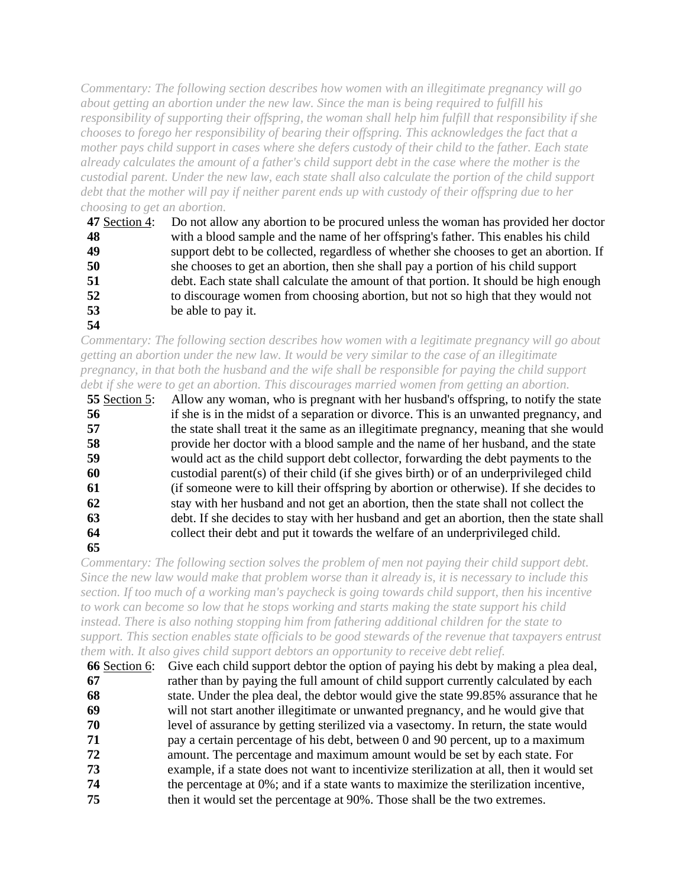*Commentary: The following section describes how women with an illegitimate pregnancy will go about getting an abortion under the new law. Since the man is being required to fulfill his responsibility of supporting their offspring, the woman shall help him fulfill that responsibility if she chooses to forego her responsibility of bearing their offspring. This acknowledges the fact that a mother pays child support in cases where she defers custody of their child to the father. Each state already calculates the amount of a father's child support debt in the case where the mother is the custodial parent. Under the new law, each state shall also calculate the portion of the child support debt that the mother will pay if neither parent ends up with custody of their offspring due to her choosing to get an abortion.*

| 47 Section 4: | Do not allow any abortion to be procured unless the woman has provided her doctor      |
|---------------|----------------------------------------------------------------------------------------|
| 48            | with a blood sample and the name of her offspring's father. This enables his child     |
| 49            | support debt to be collected, regardless of whether she chooses to get an abortion. If |
| 50            | she chooses to get an abortion, then she shall pay a portion of his child support      |
| 51            | debt. Each state shall calculate the amount of that portion. It should be high enough  |
| 52            | to discourage women from choosing abortion, but not so high that they would not        |
| 53            | be able to pay it.                                                                     |
| 54            |                                                                                        |

*Commentary: The following section describes how women with a legitimate pregnancy will go about getting an abortion under the new law. It would be very similar to the case of an illegitimate pregnancy, in that both the husband and the wife shall be responsible for paying the child support debt if she were to get an abortion. This discourages married women from getting an abortion.*

| 55 Section 5: | Allow any woman, who is pregnant with her husband's offspring, to notify the state      |
|---------------|-----------------------------------------------------------------------------------------|
| 56            | if she is in the midst of a separation or divorce. This is an unwanted pregnancy, and   |
| 57            | the state shall treat it the same as an illegitimate pregnancy, meaning that she would  |
| 58            | provide her doctor with a blood sample and the name of her husband, and the state       |
| 59            | would act as the child support debt collector, forwarding the debt payments to the      |
| 60            | custodial parent(s) of their child (if she gives birth) or of an underprivileged child  |
| 61            | (if someone were to kill their offspring by abortion or otherwise). If she decides to   |
| 62            | stay with her husband and not get an abortion, then the state shall not collect the     |
| 63            | debt. If she decides to stay with her husband and get an abortion, then the state shall |
| 64            | collect their debt and put it towards the welfare of an underprivileged child.          |
| 65            |                                                                                         |

*Commentary: The following section solves the problem of men not paying their child support debt. Since the new law would make that problem worse than it already is, it is necessary to include this section. If too much of a working man's paycheck is going towards child support, then his incentive to work can become so low that he stops working and starts making the state support his child instead. There is also nothing stopping him from fathering additional children for the state to support. This section enables state officials to be good stewards of the revenue that taxpayers entrust them with. It also gives child support debtors an opportunity to receive debt relief.*

 **66** Section 6: Give each child support debtor the option of paying his debt by making a plea deal, **67** rather than by paying the full amount of child support currently calculated by each **68** state. Under the plea deal, the debtor would give the state 99.85% assurance that he **69** will not start another illegitimate or unwanted pregnancy, and he would give that **70** level of assurance by getting sterilized via a vasectomy. In return, the state would **71** pay a certain percentage of his debt, between 0 and 90 percent, up to a maximum **72** amount. The percentage and maximum amount would be set by each state. For **73** example, if a state does not want to incentivize sterilization at all, then it would set **74** the percentage at 0%; and if a state wants to maximize the sterilization incentive, **75** then it would set the percentage at 90%. Those shall be the two extremes.